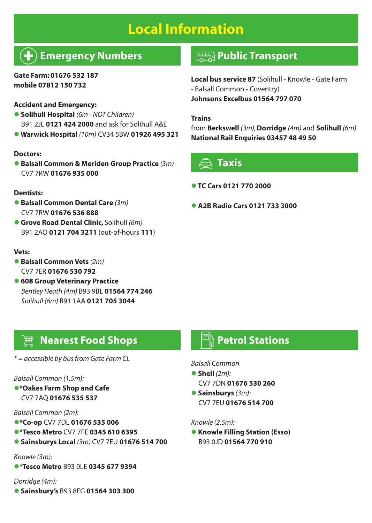# **Local Information**

## **Emergency Numbers**

#### **Gate Farm: 01676 532 187 mobile 07812 150 732**

#### **Accident and Emergency:**

- l **Solihull Hospital** *(6m NOT Children)* B91 2JL **0121 424 2000** and ask for Solihull A&E
- l **Warwick Hospital** *(10m)* CV34 5BW **01926 495 321**

#### **Doctors:**

l **Balsall Common & Meriden Group Practice** *(3m)* CV7 7RW **01676 935 000**

#### **Dentists:**

- l **Balsall Common Dental Care** *(3m)* CV7 7RW **01676 536 888**
- l **Grove Road Dental Clinic,** Solihull *(6m)*  B91 2AQ **0121 704 3211** (out-of-hours **111**)

#### **Vets:**

- l **Balsall Common Vets** *(2m)*  CV7 7ER **01676 530 792**
- $\bullet$  **608 Group Veterinary Practice** *Bentley Heath (4m)* B93 9BL **01564 774 246** *Solihull (6m)* B91 1AA **0121 705 3044**

### **Public Transport**

**Local bus service 87** (Solihull - Knowle - Gate Farm - Balsall Common - Coventry) **Johnsons Excelbus 01564 797 070**

#### **Trains**

from **Berkswell** *(3m),* **Dorridge** *(4m)* and **Solihull** *(6m)* **National Rail Enquiries 03457 48 49 50**



#### l **TC Cars 0121 770 2000**

l **A2B Radio Cars 0121 733 3000**

### **Nearest Food Shops**

#### *\* = accessible by bus from Gate Farm CL*

#### *Balsall Common (1.5m):*

l**\*Oakes Farm Shop and Cafe**  CV7 7AQ **01676 535 537**

#### *Balsall Common (2m):*

- l**\*Co-op** CV7 7DL **01676 535 006**
- l**\*Tesco Metro** CV7 7FE **0345 610 6395**
- l **Sainsburys Local** *(3m)* CV7 7EU **01676 514 700**

#### *Knowle (3m):*

l*\****Tesco Metro** B93 0LE **0345 677 9394**

#### *Dorridge (4m):*

l **Sainsbury's** B93 8FG **01564 303 300**

### **Petrol Stations**

#### *Balsall Common*

- l **Shell** *(2m):* CV7 7DN **01676 530 260**
- l **Sainsburys** *(3m):* CV7 7EU **01676 514 700**

#### *Knowle (2.5m):*

**• Knowle Filling Station (Esso)** B93 0JD **01564 770 910**